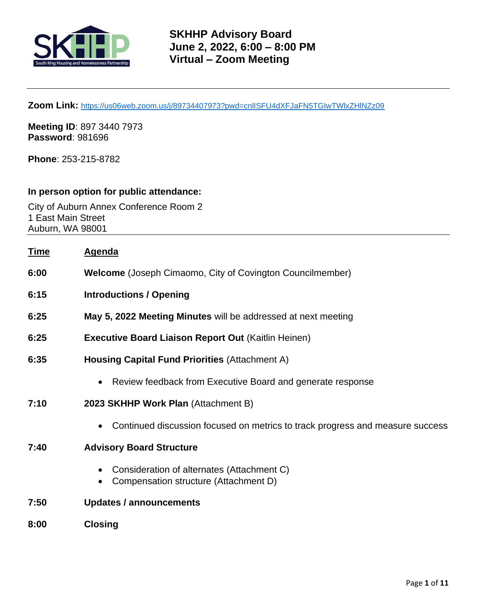

**SKHHP Advisory Board June 2, 2022, 6:00 – 8:00 PM Virtual – Zoom Meeting**

**Zoom Link:** <https://us06web.zoom.us/j/89734407973?pwd=cnlISFU4dXFJaFN5TGIwTWlxZHlNZz09>

**Meeting ID**: 897 3440 7973 **Password**: 981696

**Phone**: 253-215-8782

# **In person option for public attendance:**

City of Auburn Annex Conference Room 2 1 East Main Street Auburn, WA 98001

| <u>Time</u> | <b>Agenda</b>                                                                                                 |  |  |  |
|-------------|---------------------------------------------------------------------------------------------------------------|--|--|--|
| 6:00        | <b>Welcome</b> (Joseph Cimaomo, City of Covington Councilmember)                                              |  |  |  |
| 6:15        | <b>Introductions / Opening</b>                                                                                |  |  |  |
| 6:25        | May 5, 2022 Meeting Minutes will be addressed at next meeting                                                 |  |  |  |
| 6:25        | <b>Executive Board Liaison Report Out (Kaitlin Heinen)</b>                                                    |  |  |  |
| 6:35        | <b>Housing Capital Fund Priorities (Attachment A)</b>                                                         |  |  |  |
|             | • Review feedback from Executive Board and generate response                                                  |  |  |  |
| 7:10        | 2023 SKHHP Work Plan (Attachment B)                                                                           |  |  |  |
|             | Continued discussion focused on metrics to track progress and measure success<br>$\bullet$                    |  |  |  |
| 7:40        | <b>Advisory Board Structure</b>                                                                               |  |  |  |
|             | Consideration of alternates (Attachment C)<br>$\bullet$<br>Compensation structure (Attachment D)<br>$\bullet$ |  |  |  |
| 7:50        | <b>Updates / announcements</b>                                                                                |  |  |  |
| 8:00        | <b>Closing</b>                                                                                                |  |  |  |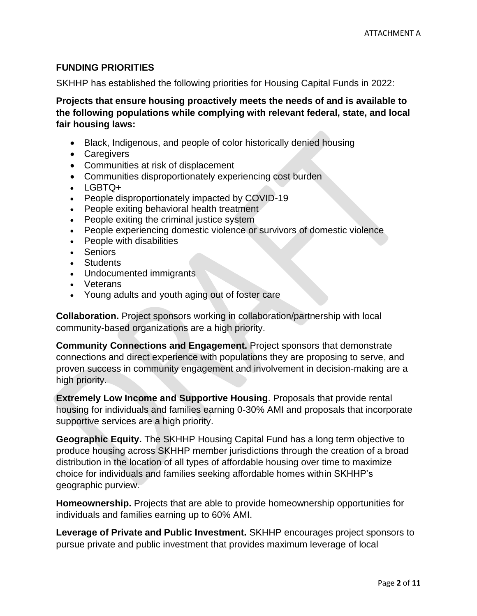# **FUNDING PRIORITIES**

SKHHP has established the following priorities for Housing Capital Funds in 2022:

**Projects that ensure housing proactively meets the needs of and is available to the following populations while complying with relevant federal, state, and local fair housing laws:** 

- Black, Indigenous, and people of color historically denied housing
- Caregivers
- Communities at risk of displacement
- Communities disproportionately experiencing cost burden
- LGBTQ+
- People disproportionately impacted by COVID-19
- People exiting behavioral health treatment
- People exiting the criminal justice system
- People experiencing domestic violence or survivors of domestic violence
- People with disabilities
- Seniors
- Students
- Undocumented immigrants
- Veterans
- Young adults and youth aging out of foster care

**Collaboration.** Project sponsors working in collaboration/partnership with local community-based organizations are a high priority.

**Community Connections and Engagement.** Project sponsors that demonstrate connections and direct experience with populations they are proposing to serve, and proven success in community engagement and involvement in decision-making are a high priority.

**Extremely Low Income and Supportive Housing. Proposals that provide rental** housing for individuals and families earning 0-30% AMI and proposals that incorporate supportive services are a high priority.

**Geographic Equity.** The SKHHP Housing Capital Fund has a long term objective to produce housing across SKHHP member jurisdictions through the creation of a broad distribution in the location of all types of affordable housing over time to maximize choice for individuals and families seeking affordable homes within SKHHP's geographic purview.

**Homeownership.** Projects that are able to provide homeownership opportunities for individuals and families earning up to 60% AMI.

**Leverage of Private and Public Investment.** SKHHP encourages project sponsors to pursue private and public investment that provides maximum leverage of local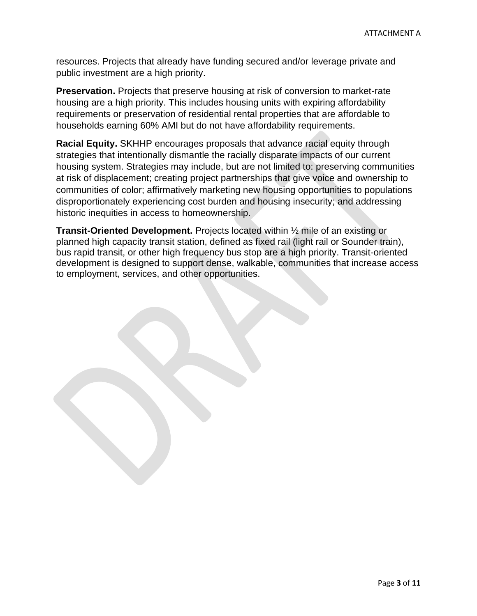resources. Projects that already have funding secured and/or leverage private and public investment are a high priority.

**Preservation.** Projects that preserve housing at risk of conversion to market-rate housing are a high priority. This includes housing units with expiring affordability requirements or preservation of residential rental properties that are affordable to households earning 60% AMI but do not have affordability requirements.

**Racial Equity.** SKHHP encourages proposals that advance racial equity through strategies that intentionally dismantle the racially disparate impacts of our current housing system. Strategies may include, but are not limited to: preserving communities at risk of displacement; creating project partnerships that give voice and ownership to communities of color; affirmatively marketing new housing opportunities to populations disproportionately experiencing cost burden and housing insecurity; and addressing historic inequities in access to homeownership.

**Transit-Oriented Development.** Projects located within ½ mile of an existing or planned high capacity transit station, defined as fixed rail (light rail or Sounder train), bus rapid transit, or other high frequency bus stop are a high priority. Transit-oriented development is designed to support dense, walkable, communities that increase access to employment, services, and other opportunities.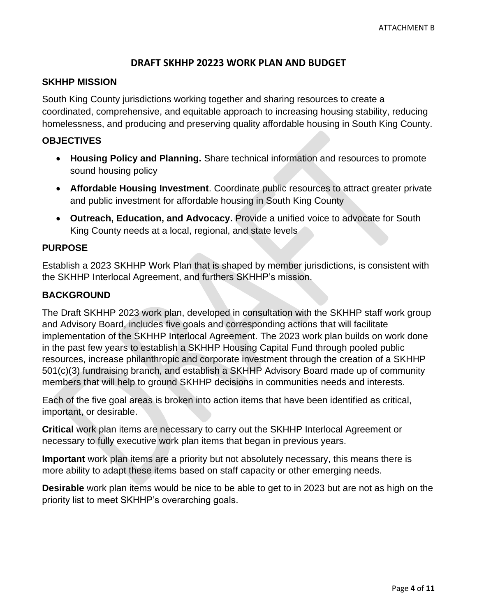# **DRAFT SKHHP 20223 WORK PLAN AND BUDGET**

# **SKHHP MISSION**

South King County jurisdictions working together and sharing resources to create a coordinated, comprehensive, and equitable approach to increasing housing stability, reducing homelessness, and producing and preserving quality affordable housing in South King County.

# **OBJECTIVES**

- **Housing Policy and Planning.** Share technical information and resources to promote sound housing policy
- **Affordable Housing Investment**. Coordinate public resources to attract greater private and public investment for affordable housing in South King County
- **Outreach, Education, and Advocacy.** Provide a unified voice to advocate for South King County needs at a local, regional, and state levels

# **PURPOSE**

Establish a 2023 SKHHP Work Plan that is shaped by member jurisdictions, is consistent with the SKHHP Interlocal Agreement, and furthers SKHHP's mission.

# **BACKGROUND**

The Draft SKHHP 2023 work plan, developed in consultation with the SKHHP staff work group and Advisory Board, includes five goals and corresponding actions that will facilitate implementation of the SKHHP Interlocal Agreement. The 2023 work plan builds on work done in the past few years to establish a SKHHP Housing Capital Fund through pooled public resources, increase philanthropic and corporate investment through the creation of a SKHHP 501(c)(3) fundraising branch, and establish a SKHHP Advisory Board made up of community members that will help to ground SKHHP decisions in communities needs and interests.

Each of the five goal areas is broken into action items that have been identified as critical, important, or desirable.

**Critical** work plan items are necessary to carry out the SKHHP Interlocal Agreement or necessary to fully executive work plan items that began in previous years.

**Important** work plan items are a priority but not absolutely necessary, this means there is more ability to adapt these items based on staff capacity or other emerging needs.

**Desirable** work plan items would be nice to be able to get to in 2023 but are not as high on the priority list to meet SKHHP's overarching goals.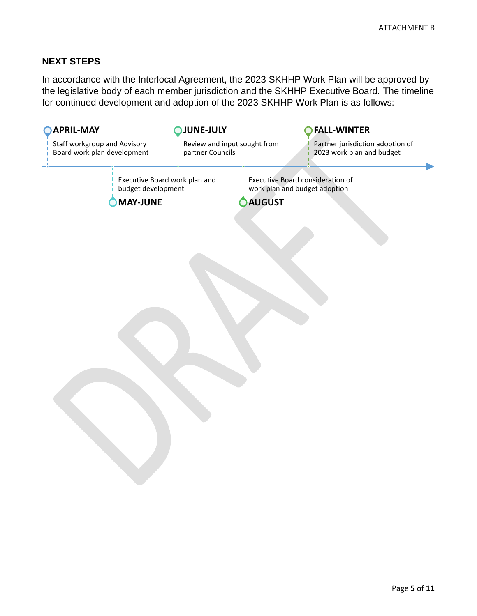# **NEXT STEPS**

In accordance with the Interlocal Agreement, the 2023 SKHHP Work Plan will be approved by the legislative body of each member jurisdiction and the SKHHP Executive Board. The timeline for continued development and adoption of the 2023 SKHHP Work Plan is as follows:

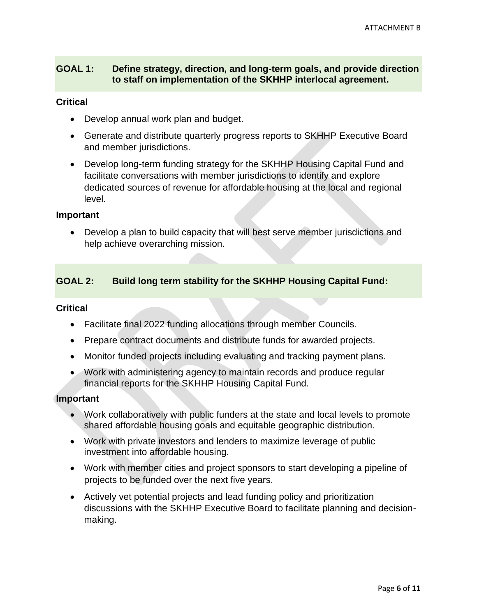# **GOAL 1: Define strategy, direction, and long-term goals, and provide direction to staff on implementation of the SKHHP interlocal agreement.**

# **Critical**

- Develop annual work plan and budget.
- Generate and distribute quarterly progress reports to SKHHP Executive Board and member jurisdictions.
- Develop long-term funding strategy for the SKHHP Housing Capital Fund and facilitate conversations with member jurisdictions to identify and explore dedicated sources of revenue for affordable housing at the local and regional level.

### **Important**

• Develop a plan to build capacity that will best serve member jurisdictions and help achieve overarching mission.

# **GOAL 2: Build long term stability for the SKHHP Housing Capital Fund:**

### **Critical**

- Facilitate final 2022 funding allocations through member Councils.
- Prepare contract documents and distribute funds for awarded projects.
- Monitor funded projects including evaluating and tracking payment plans.
- Work with administering agency to maintain records and produce regular financial reports for the SKHHP Housing Capital Fund.

### **Important**

- Work collaboratively with public funders at the state and local levels to promote shared affordable housing goals and equitable geographic distribution.
- Work with private investors and lenders to maximize leverage of public investment into affordable housing.
- Work with member cities and project sponsors to start developing a pipeline of projects to be funded over the next five years.
- Actively vet potential projects and lead funding policy and prioritization discussions with the SKHHP Executive Board to facilitate planning and decisionmaking.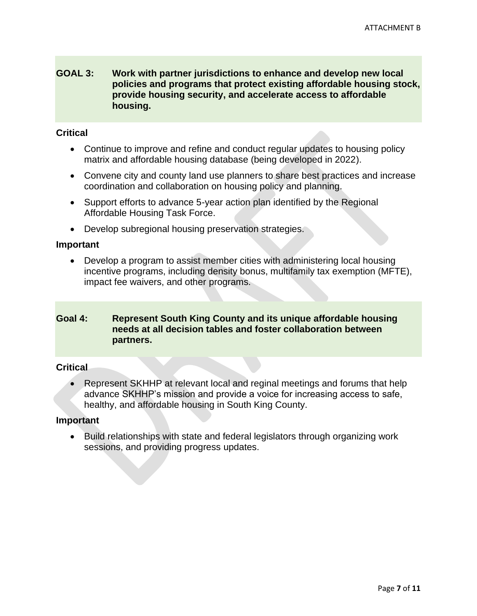# **GOAL 3: Work with partner jurisdictions to enhance and develop new local policies and programs that protect existing affordable housing stock, provide housing security, and accelerate access to affordable housing.**

### **Critical**

- Continue to improve and refine and conduct regular updates to housing policy matrix and affordable housing database (being developed in 2022).
- Convene city and county land use planners to share best practices and increase coordination and collaboration on housing policy and planning.
- Support efforts to advance 5-year action plan identified by the Regional Affordable Housing Task Force.
- Develop subregional housing preservation strategies.

#### **Important**

• Develop a program to assist member cities with administering local housing incentive programs, including density bonus, multifamily tax exemption (MFTE), impact fee waivers, and other programs.

# **Goal 4: Represent South King County and its unique affordable housing needs at all decision tables and foster collaboration between partners.**

#### **Critical**

• Represent SKHHP at relevant local and reginal meetings and forums that help advance SKHHP's mission and provide a voice for increasing access to safe, healthy, and affordable housing in South King County.

#### **Important**

• Build relationships with state and federal legislators through organizing work sessions, and providing progress updates.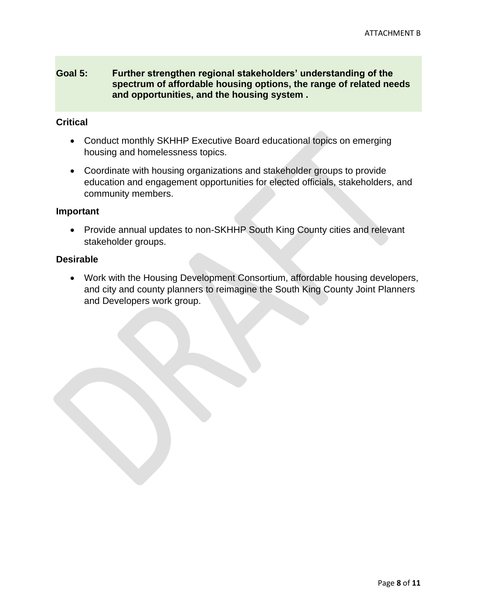# **Goal 5: Further strengthen regional stakeholders' understanding of the spectrum of affordable housing options, the range of related needs and opportunities, and the housing system .**

### **Critical**

- Conduct monthly SKHHP Executive Board educational topics on emerging housing and homelessness topics.
- Coordinate with housing organizations and stakeholder groups to provide education and engagement opportunities for elected officials, stakeholders, and community members.

#### **Important**

• Provide annual updates to non-SKHHP South King County cities and relevant stakeholder groups.

### **Desirable**

• Work with the Housing Development Consortium, affordable housing developers, and city and county planners to reimagine the South King County Joint Planners and Developers work group.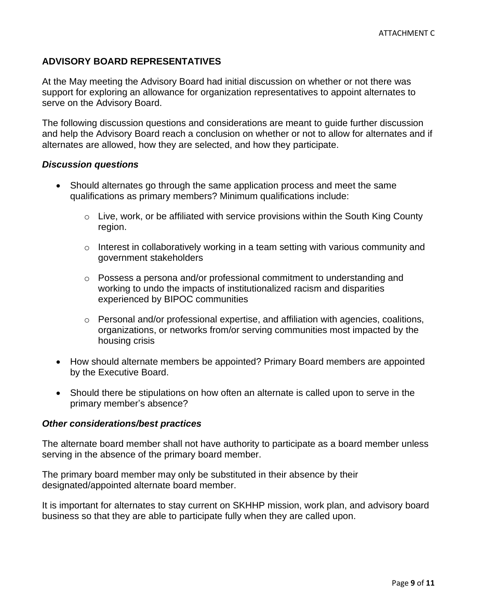# **ADVISORY BOARD REPRESENTATIVES**

At the May meeting the Advisory Board had initial discussion on whether or not there was support for exploring an allowance for organization representatives to appoint alternates to serve on the Advisory Board.

The following discussion questions and considerations are meant to guide further discussion and help the Advisory Board reach a conclusion on whether or not to allow for alternates and if alternates are allowed, how they are selected, and how they participate.

### *Discussion questions*

- Should alternates go through the same application process and meet the same qualifications as primary members? Minimum qualifications include:
	- $\circ$  Live, work, or be affiliated with service provisions within the South King County region.
	- o Interest in collaboratively working in a team setting with various community and government stakeholders
	- o Possess a persona and/or professional commitment to understanding and working to undo the impacts of institutionalized racism and disparities experienced by BIPOC communities
	- $\circ$  Personal and/or professional expertise, and affiliation with agencies, coalitions, organizations, or networks from/or serving communities most impacted by the housing crisis
- How should alternate members be appointed? Primary Board members are appointed by the Executive Board.
- Should there be stipulations on how often an alternate is called upon to serve in the primary member's absence?

### *Other considerations/best practices*

The alternate board member shall not have authority to participate as a board member unless serving in the absence of the primary board member.

The primary board member may only be substituted in their absence by their designated/appointed alternate board member.

It is important for alternates to stay current on SKHHP mission, work plan, and advisory board business so that they are able to participate fully when they are called upon.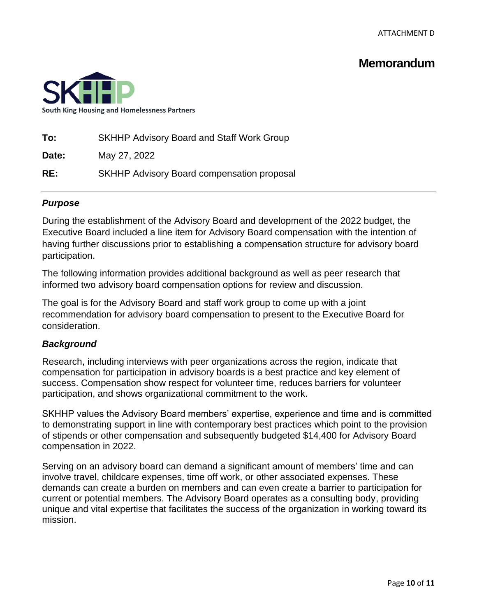# **Memorandum**



| To:   | <b>SKHHP Advisory Board and Staff Work Group</b>  |
|-------|---------------------------------------------------|
| Date: | May 27, 2022                                      |
| RE:   | <b>SKHHP Advisory Board compensation proposal</b> |

### *Purpose*

During the establishment of the Advisory Board and development of the 2022 budget, the Executive Board included a line item for Advisory Board compensation with the intention of having further discussions prior to establishing a compensation structure for advisory board participation.

The following information provides additional background as well as peer research that informed two advisory board compensation options for review and discussion.

The goal is for the Advisory Board and staff work group to come up with a joint recommendation for advisory board compensation to present to the Executive Board for consideration.

# *Background*

Research, including interviews with peer organizations across the region, indicate that compensation for participation in advisory boards is a best practice and key element of success. Compensation show respect for volunteer time, reduces barriers for volunteer participation, and shows organizational commitment to the work.

SKHHP values the Advisory Board members' expertise, experience and time and is committed to demonstrating support in line with contemporary best practices which point to the provision of stipends or other compensation and subsequently budgeted \$14,400 for Advisory Board compensation in 2022.

Serving on an advisory board can demand a significant amount of members' time and can involve travel, childcare expenses, time off work, or other associated expenses. These demands can create a burden on members and can even create a barrier to participation for current or potential members. The Advisory Board operates as a consulting body, providing unique and vital expertise that facilitates the success of the organization in working toward its mission.